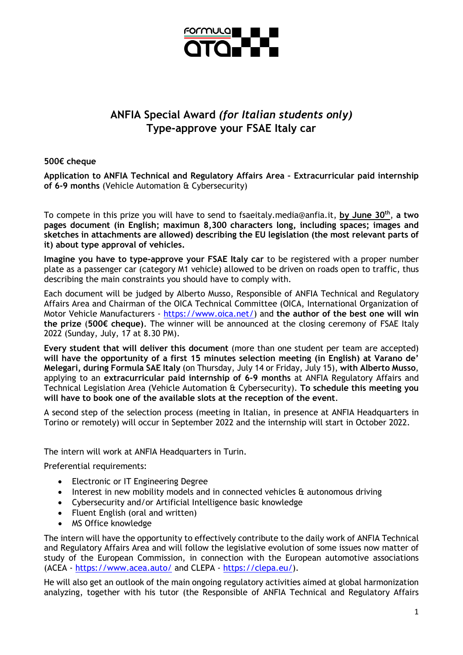

## **ANFIA Special Award** *(for Italian students only)* **Type-approve your FSAE Italy car**

## **500€ cheque**

**Application to ANFIA Technical and Regulatory Affairs Area – Extracurricular paid internship of 6-9 months** (Vehicle Automation & Cybersecurity)

To compete in this prize you will have to send to fsaeitaly.media@anfia.it, **by June 30th**, **a two pages document (in English; maximun 8,300 characters long, including spaces; images and sketches in attachments are allowed) describing the EU legislation (the most relevant parts of it) about type approval of vehicles.**

**Imagine you have to type-approve your FSAE Italy car** to be registered with a proper number plate as a passenger car (category M1 vehicle) allowed to be driven on roads open to traffic, thus describing the main constraints you should have to comply with.

Each document will be judged by Alberto Musso, Responsible of ANFIA Technical and Regulatory Affairs Area and Chairman of the OICA Technical Committee (OICA, International Organization of Motor Vehicle Manufacturers - [https://www.oica.net/\)](https://www.oica.net/) and **the author of the best one will win the prize** (**500€ cheque)**. The winner will be announced at the closing ceremony of FSAE Italy 2022 (Sunday, July, 17 at 8.30 PM).

**Every student that will deliver this document** (more than one student per team are accepted) **will have the opportunity of a first 15 minutes selection meeting (in English) at Varano de' Melegari, during Formula SAE Italy** (on Thursday, July 14 or Friday, July 15), **with Alberto Musso**, applying to an **extracurricular paid internship of 6-9 months** at ANFIA Regulatory Affairs and Technical Legislation Area (Vehicle Automation & Cybersecurity). **To schedule this meeting you will have to book one of the available slots at the reception of the event**.

A second step of the selection process (meeting in Italian, in presence at ANFIA Headquarters in Torino or remotely) will occur in September 2022 and the internship will start in October 2022.

The intern will work at ANFIA Headquarters in Turin.

Preferential requirements:

- Electronic or IT Engineering Degree
- Interest in new mobility models and in connected vehicles & autonomous driving
- Cybersecurity and/or Artificial Intelligence basic knowledge
- Fluent English (oral and written)
- MS Office knowledge

The intern will have the opportunity to effectively contribute to the daily work of ANFIA Technical and Regulatory Affairs Area and will follow the legislative evolution of some issues now matter of study of the European Commission, in connection with the European automotive associations (ACEA - <https://www.acea.auto/> and CLEPA - [https://clepa.eu/\)](https://clepa.eu/).

He will also get an outlook of the main ongoing regulatory activities aimed at global harmonization analyzing, together with his tutor (the Responsible of ANFIA Technical and Regulatory Affairs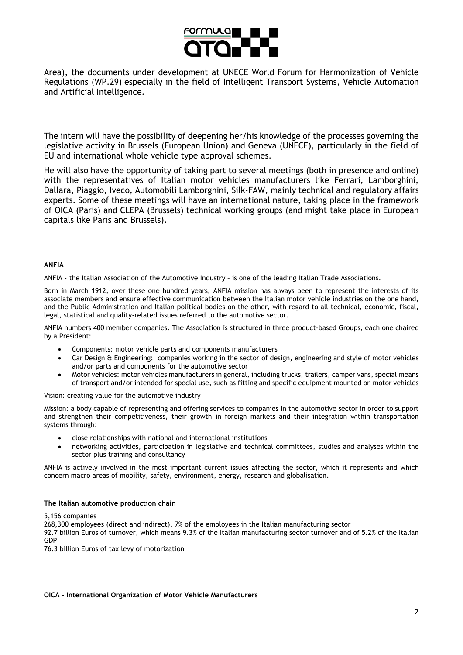

Area), the documents under development at UNECE World Forum for Harmonization of Vehicle Regulations (WP.29) especially in the field of Intelligent Transport Systems, Vehicle Automation and Artificial Intelligence.

The intern will have the possibility of deepening her/his knowledge of the processes governing the legislative activity in Brussels (European Union) and Geneva (UNECE), particularly in the field of EU and international whole vehicle type approval schemes.

He will also have the opportunity of taking part to several meetings (both in presence and online) with the representatives of Italian motor vehicles manufacturers like Ferrari, Lamborghini, Dallara, Piaggio, Iveco, Automobili Lamborghini, Silk-FAW, mainly technical and regulatory affairs experts. Some of these meetings will have an international nature, taking place in the framework of OICA (Paris) and CLEPA (Brussels) technical working groups (and might take place in European capitals like Paris and Brussels).

## **ANFIA**

ANFIA - the Italian Association of the Automotive Industry – is one of the leading Italian Trade Associations.

Born in March 1912, over these one hundred years, ANFIA mission has always been to represent the interests of its associate members and ensure effective communication between the Italian motor vehicle industries on the one hand, and the Public Administration and Italian political bodies on the other, with regard to all technical, economic, fiscal, legal, statistical and quality-related issues referred to the automotive sector.

ANFIA numbers 400 member companies. The Association is structured in three product-based Groups, each one chaired by a President:

- Components: motor vehicle parts and components manufacturers
- Car Design & Engineering: companies working in the sector of design, engineering and style of motor vehicles and/or parts and components for the automotive sector
- Motor vehicles: motor vehicles manufacturers in general, including trucks, trailers, camper vans, special means of transport and/or intended for special use, such as fitting and specific equipment mounted on motor vehicles

Vision: creating value for the automotive industry

Mission: a body capable of representing and offering services to companies in the automotive sector in order to support and strengthen their competitiveness, their growth in foreign markets and their integration within transportation systems through:

- close relationships with national and international institutions
- networking activities, participation in legislative and technical committees, studies and analyses within the sector plus training and consultancy

ANFIA is actively involved in the most important current issues affecting the sector, which it represents and which concern macro areas of mobility, safety, environment, energy, research and globalisation.

## **The Italian automotive production chain**

5,156 companies

268,300 employees (direct and indirect), 7% of the employees in the Italian manufacturing sector

92.7 billion Euros of turnover, which means 9.3% of the Italian manufacturing sector turnover and of 5.2% of the Italian GDP

76.3 billion Euros of tax levy of motorization